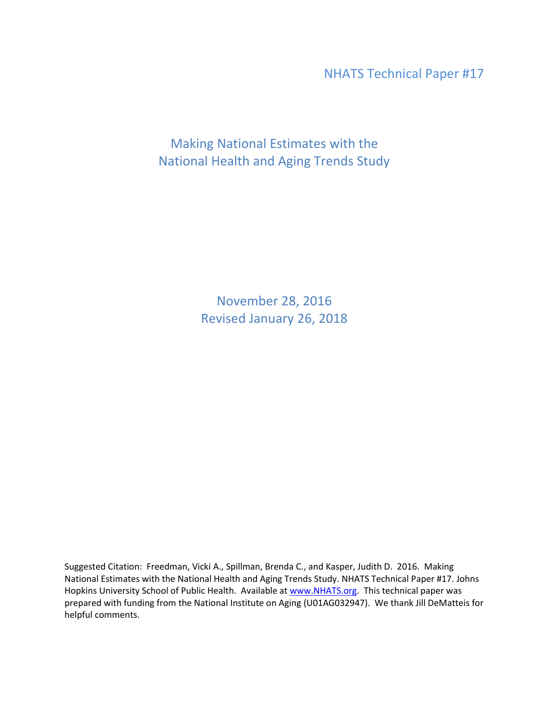NHATS Technical Paper #17

Making National Estimates with the National Health and Aging Trends Study

> November 28, 2016 Revised January 26, 2018

Suggested Citation: Freedman, Vicki A., Spillman, Brenda C., and Kasper, Judith D. 2016. Making National Estimates with the National Health and Aging Trends Study. NHATS Technical Paper #17. Johns Hopkins University School of Public Health. Available at [www.NHATS.org.](http://www.nhats.org/) This technical paper was prepared with funding from the National Institute on Aging (U01AG032947). We thank Jill DeMatteis for helpful comments.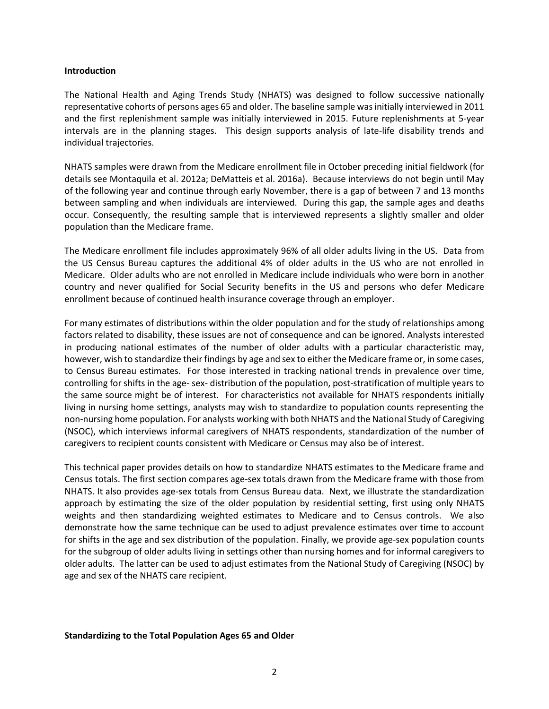#### **Introduction**

The National Health and Aging Trends Study (NHATS) was designed to follow successive nationally representative cohorts of persons ages 65 and older. The baseline sample was initially interviewed in 2011 and the first replenishment sample was initially interviewed in 2015. Future replenishments at 5-year intervals are in the planning stages. This design supports analysis of late-life disability trends and individual trajectories.

NHATS samples were drawn from the Medicare enrollment file in October preceding initial fieldwork (for details see Montaquila et al. 2012a; DeMatteis et al. 2016a). Because interviews do not begin until May of the following year and continue through early November, there is a gap of between 7 and 13 months between sampling and when individuals are interviewed. During this gap, the sample ages and deaths occur. Consequently, the resulting sample that is interviewed represents a slightly smaller and older population than the Medicare frame.

The Medicare enrollment file includes approximately 96% of all older adults living in the US. Data from the US Census Bureau captures the additional 4% of older adults in the US who are not enrolled in Medicare. Older adults who are not enrolled in Medicare include individuals who were born in another country and never qualified for Social Security benefits in the US and persons who defer Medicare enrollment because of continued health insurance coverage through an employer.

For many estimates of distributions within the older population and for the study of relationships among factors related to disability, these issues are not of consequence and can be ignored. Analysts interested in producing national estimates of the number of older adults with a particular characteristic may, however, wish to standardize their findings by age and sex to either the Medicare frame or, in some cases, to Census Bureau estimates. For those interested in tracking national trends in prevalence over time, controlling for shifts in the age- sex- distribution of the population, post-stratification of multiple years to the same source might be of interest. For characteristics not available for NHATS respondents initially living in nursing home settings, analysts may wish to standardize to population counts representing the non-nursing home population. For analysts working with both NHATS and the National Study of Caregiving (NSOC), which interviews informal caregivers of NHATS respondents, standardization of the number of caregivers to recipient counts consistent with Medicare or Census may also be of interest.

This technical paper provides details on how to standardize NHATS estimates to the Medicare frame and Census totals. The first section compares age-sex totals drawn from the Medicare frame with those from NHATS. It also provides age-sex totals from Census Bureau data. Next, we illustrate the standardization approach by estimating the size of the older population by residential setting, first using only NHATS weights and then standardizing weighted estimates to Medicare and to Census controls. We also demonstrate how the same technique can be used to adjust prevalence estimates over time to account for shifts in the age and sex distribution of the population. Finally, we provide age-sex population counts for the subgroup of older adults living in settings other than nursing homes and for informal caregivers to older adults. The latter can be used to adjust estimates from the National Study of Caregiving (NSOC) by age and sex of the NHATS care recipient.

#### **Standardizing to the Total Population Ages 65 and Older**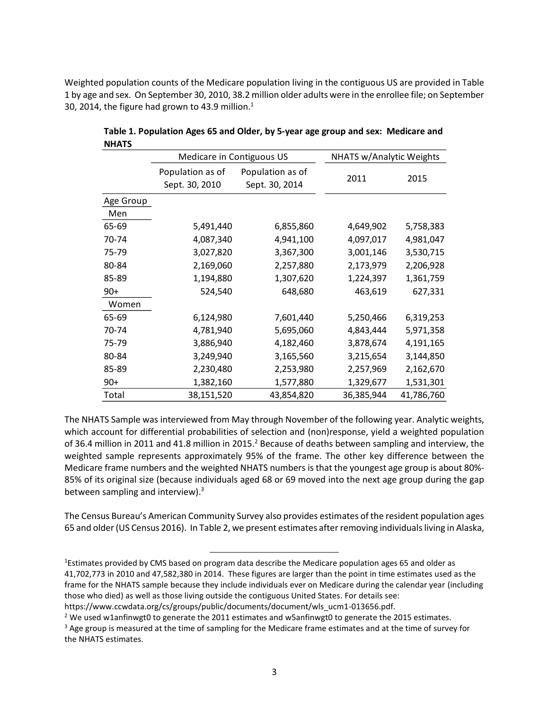Weighted population counts of the Medicare population living in the contiguous US are provided in Table 1 by age and sex. On September 30, 2010, 38.2 million older adults were in the enrollee file; on September 30, 2014, the figure had grown to 43.9 million.<sup>1</sup>

|           | Medicare in Contiguous US          |                                    | NHATS w/Analytic Weights |            |
|-----------|------------------------------------|------------------------------------|--------------------------|------------|
|           | Population as of<br>Sept. 30, 2010 | Population as of<br>Sept. 30, 2014 | 2011                     | 2015       |
| Age Group |                                    |                                    |                          |            |
| Men       |                                    |                                    |                          |            |
| 65-69     | 5,491,440                          | 6,855,860                          | 4,649,902                | 5,758,383  |
| 70-74     | 4,087,340                          | 4,941,100                          | 4,097,017                | 4,981,047  |
| 75-79     | 3,027,820                          | 3,367,300                          | 3,001,146                | 3,530,715  |
| 80-84     | 2,169,060                          | 2,257,880                          | 2,173,979                | 2,206,928  |
| 85-89     | 1,194,880                          | 1,307,620                          | 1,224,397                | 1,361,759  |
| $90+$     | 524,540                            | 648,680                            | 463,619                  | 627,331    |
| Women     |                                    |                                    |                          |            |
| 65-69     | 6,124,980                          | 7,601,440                          | 5,250,466                | 6,319,253  |
| 70-74     | 4,781,940                          | 5,695,060                          | 4,843,444                | 5,971,358  |
| 75-79     | 3,886,940                          | 4,182,460                          | 3,878,674                | 4,191,165  |
| 80-84     | 3,249,940                          | 3,165,560                          | 3,215,654                | 3,144,850  |
| 85-89     | 2,230,480                          | 2,253,980                          | 2,257,969                | 2,162,670  |
| $90+$     | 1,382,160                          | 1,577,880                          | 1,329,677                | 1,531,301  |
| Total     | 38,151,520                         | 43,854,820                         | 36,385,944               | 41,786,760 |

**Table 1. Population Ages 65 and Older, by 5-year age group and sex: Medicare and NHATS**

The NHATS Sample was interviewed from May through November of the following year. Analytic weights, which account for differential probabilities of selection and (non)response, yield a weighted population of 36.4 million in 2011 and 41.8 million in 2015.<sup>2</sup> Because of deaths between sampling and interview, the weighted sample represents approximately 95% of the frame. The other key difference between the Medicare frame numbers and the weighted NHATS numbers is that the youngest age group is about 80%- 85% of its original size (because individuals aged 68 or 69 moved into the next age group during the gap between sampling and interview).<sup>3</sup>

The Census Bureau's American Community Survey also provides estimates of the resident population ages 65 and older(US Census 2016). In Table 2, we present estimates after removing individuals living in Alaska,

 $\overline{a}$ 

<sup>&</sup>lt;sup>1</sup>Estimates provided by CMS based on program data describe the Medicare population ages 65 and older as 41,702,773 in 2010 and 47,582,380 in 2014. These figures are larger than the point in time estimates used as the frame for the NHATS sample because they include individuals ever on Medicare during the calendar year (including those who died) as well as those living outside the contiguous United States. For details see:

https://www.ccwdata.org/cs/groups/public/documents/document/wls\_ucm1-013656.pdf.

<sup>&</sup>lt;sup>2</sup> We used w1anfinwgt0 to generate the 2011 estimates and w5anfinwgt0 to generate the 2015 estimates.

<sup>&</sup>lt;sup>3</sup> Age group is measured at the time of sampling for the Medicare frame estimates and at the time of survey for the NHATS estimates.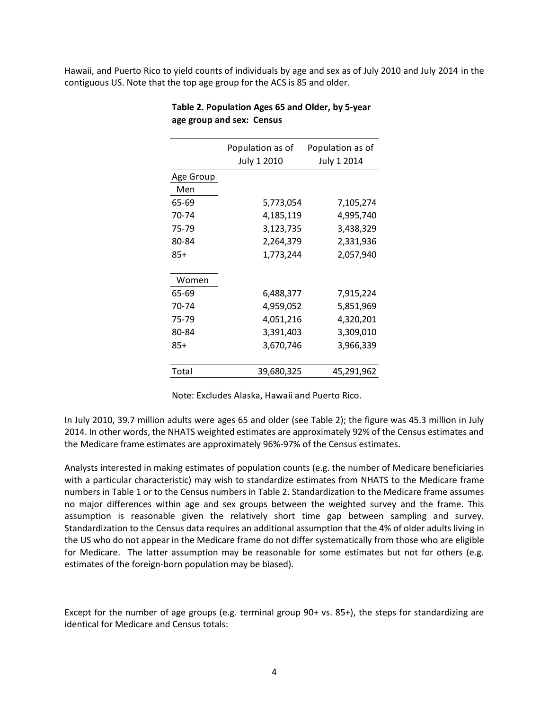Hawaii, and Puerto Rico to yield counts of individuals by age and sex as of July 2010 and July 2014 in the contiguous US. Note that the top age group for the ACS is 85 and older.

| Population as of | Population as of |
|------------------|------------------|
| July 1 2010      | July 1 2014      |
|                  |                  |
|                  |                  |
| 5,773,054        | 7,105,274        |
| 4,185,119        | 4,995,740        |
| 3,123,735        | 3,438,329        |
| 2,264,379        | 2,331,936        |
| 1,773,244        | 2,057,940        |
|                  |                  |
| 6,488,377        | 7,915,224        |
| 4,959,052        | 5,851,969        |
| 4,051,216        | 4,320,201        |
| 3,391,403        | 3,309,010        |
| 3,670,746        | 3,966,339        |
|                  |                  |
| 39,680,325       | 45,291,962       |
|                  |                  |

**Table 2. Population Ages 65 and Older, by 5-year age group and sex: Census**

Note: Excludes Alaska, Hawaii and Puerto Rico.

In July 2010, 39.7 million adults were ages 65 and older (see Table 2); the figure was 45.3 million in July 2014. In other words, the NHATS weighted estimates are approximately 92% of the Census estimates and the Medicare frame estimates are approximately 96%-97% of the Census estimates.

Analysts interested in making estimates of population counts (e.g. the number of Medicare beneficiaries with a particular characteristic) may wish to standardize estimates from NHATS to the Medicare frame numbers in Table 1 or to the Census numbers in Table 2. Standardization to the Medicare frame assumes no major differences within age and sex groups between the weighted survey and the frame. This assumption is reasonable given the relatively short time gap between sampling and survey. Standardization to the Census data requires an additional assumption that the 4% of older adults living in the US who do not appear in the Medicare frame do not differ systematically from those who are eligible for Medicare. The latter assumption may be reasonable for some estimates but not for others (e.g. estimates of the foreign-born population may be biased).

Except for the number of age groups (e.g. terminal group 90+ vs. 85+), the steps for standardizing are identical for Medicare and Census totals: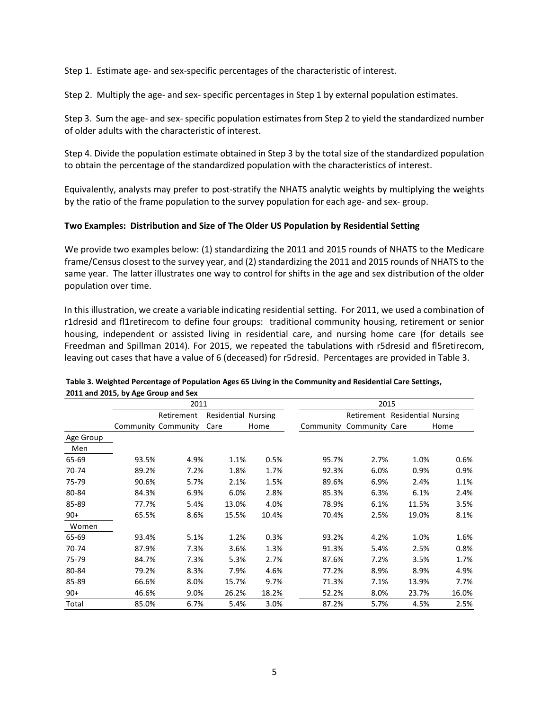Step 1. Estimate age- and sex-specific percentages of the characteristic of interest.

Step 2. Multiply the age- and sex- specific percentages in Step 1 by external population estimates.

Step 3. Sum the age- and sex-specific population estimates from Step 2 to yield the standardized number of older adults with the characteristic of interest.

Step 4. Divide the population estimate obtained in Step 3 by the total size of the standardized population to obtain the percentage of the standardized population with the characteristics of interest.

Equivalently, analysts may prefer to post-stratify the NHATS analytic weights by multiplying the weights by the ratio of the frame population to the survey population for each age- and sex- group.

### **Two Examples: Distribution and Size of The Older US Population by Residential Setting**

We provide two examples below: (1) standardizing the 2011 and 2015 rounds of NHATS to the Medicare frame/Census closest to the survey year, and (2) standardizing the 2011 and 2015 rounds of NHATS to the same year. The latter illustrates one way to control for shifts in the age and sex distribution of the older population over time.

In this illustration, we create a variable indicating residential setting. For 2011, we used a combination of r1dresid and fl1retirecom to define four groups: traditional community housing, retirement or senior housing, independent or assisted living in residential care, and nursing home care (for details see Freedman and Spillman 2014). For 2015, we repeated the tabulations with r5dresid and fl5retirecom, leaving out cases that have a value of 6 (deceased) for r5dresid. Percentages are provided in Table 3.

|           |       | 2011                |                            |       |       | 2015                           |       |       |
|-----------|-------|---------------------|----------------------------|-------|-------|--------------------------------|-------|-------|
|           |       | Retirement          | <b>Residential Nursing</b> |       |       | Retirement Residential Nursing |       |       |
|           |       | Community Community | Care                       | Home  |       | Community Community Care       |       | Home  |
| Age Group |       |                     |                            |       |       |                                |       |       |
| Men       |       |                     |                            |       |       |                                |       |       |
| 65-69     | 93.5% | 4.9%                | 1.1%                       | 0.5%  | 95.7% | 2.7%                           | 1.0%  | 0.6%  |
| 70-74     | 89.2% | 7.2%                | 1.8%                       | 1.7%  | 92.3% | 6.0%                           | 0.9%  | 0.9%  |
| 75-79     | 90.6% | 5.7%                | 2.1%                       | 1.5%  | 89.6% | 6.9%                           | 2.4%  | 1.1%  |
| 80-84     | 84.3% | 6.9%                | 6.0%                       | 2.8%  | 85.3% | 6.3%                           | 6.1%  | 2.4%  |
| 85-89     | 77.7% | 5.4%                | 13.0%                      | 4.0%  | 78.9% | 6.1%                           | 11.5% | 3.5%  |
| $90+$     | 65.5% | 8.6%                | 15.5%                      | 10.4% | 70.4% | 2.5%                           | 19.0% | 8.1%  |
| Women     |       |                     |                            |       |       |                                |       |       |
| 65-69     | 93.4% | 5.1%                | 1.2%                       | 0.3%  | 93.2% | 4.2%                           | 1.0%  | 1.6%  |
| 70-74     | 87.9% | 7.3%                | 3.6%                       | 1.3%  | 91.3% | 5.4%                           | 2.5%  | 0.8%  |
| 75-79     | 84.7% | 7.3%                | 5.3%                       | 2.7%  | 87.6% | 7.2%                           | 3.5%  | 1.7%  |
| 80-84     | 79.2% | 8.3%                | 7.9%                       | 4.6%  | 77.2% | 8.9%                           | 8.9%  | 4.9%  |
| 85-89     | 66.6% | 8.0%                | 15.7%                      | 9.7%  | 71.3% | 7.1%                           | 13.9% | 7.7%  |
| $90+$     | 46.6% | 9.0%                | 26.2%                      | 18.2% | 52.2% | 8.0%                           | 23.7% | 16.0% |
| Total     | 85.0% | 6.7%                | 5.4%                       | 3.0%  | 87.2% | 5.7%                           | 4.5%  | 2.5%  |

#### **Table 3. Weighted Percentage of Population Ages 65 Living in the Community and Residential Care Settings, 2011 and 2015, by Age Group and Sex**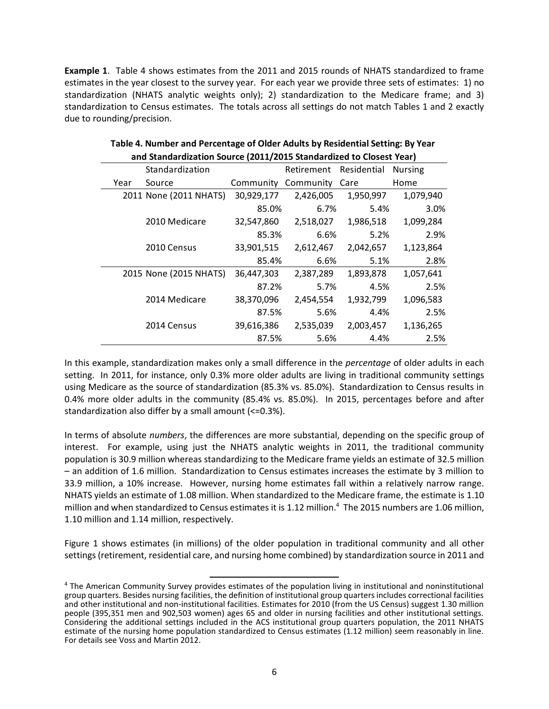**Example 1**. Table 4 shows estimates from the 2011 and 2015 rounds of NHATS standardized to frame estimates in the year closest to the survey year. For each year we provide three sets of estimates: 1) no standardization (NHATS analytic weights only); 2) standardization to the Medicare frame; and 3) standardization to Census estimates. The totals across all settings do not match Tables 1 and 2 exactly due to rounding/precision.

|      | and beand a diction boarder (2011/2019 beand a diction to diobest rear) |            |            |             |                |
|------|-------------------------------------------------------------------------|------------|------------|-------------|----------------|
|      | Standardization                                                         |            | Retirement | Residential | <b>Nursing</b> |
| Year | Source                                                                  | Community  | Community  | Care        | Home           |
|      | 2011 None (2011 NHATS)                                                  | 30,929,177 | 2,426,005  | 1,950,997   | 1,079,940      |
|      |                                                                         | 85.0%      | 6.7%       | 5.4%        | 3.0%           |
|      | 2010 Medicare                                                           | 32,547,860 | 2,518,027  | 1,986,518   | 1,099,284      |
|      |                                                                         | 85.3%      | 6.6%       | 5.2%        | 2.9%           |
|      | 2010 Census                                                             | 33,901,515 | 2,612,467  | 2,042,657   | 1,123,864      |
|      |                                                                         | 85.4%      | 6.6%       | 5.1%        | 2.8%           |
|      | 2015 None (2015 NHATS)                                                  | 36,447,303 | 2,387,289  | 1,893,878   | 1,057,641      |
|      |                                                                         | 87.2%      | 5.7%       | 4.5%        | 2.5%           |
|      | 2014 Medicare                                                           | 38,370,096 | 2,454,554  | 1,932,799   | 1,096,583      |
|      |                                                                         | 87.5%      | 5.6%       | 4.4%        | 2.5%           |
|      | 2014 Census                                                             | 39,616,386 | 2,535,039  | 2,003,457   | 1,136,265      |
|      |                                                                         | 87.5%      | 5.6%       | 4.4%        | 2.5%           |

| Table 4. Number and Percentage of Older Adults by Residential Setting: By Year |
|--------------------------------------------------------------------------------|
| and Standardization Source (2011/2015 Standardized to Closest Year)            |

In this example, standardization makes only a small difference in the *percentage* of older adults in each setting. In 2011, for instance, only 0.3% more older adults are living in traditional community settings using Medicare as the source of standardization (85.3% vs. 85.0%). Standardization to Census results in 0.4% more older adults in the community (85.4% vs. 85.0%). In 2015, percentages before and after standardization also differ by a small amount (<=0.3%).

In terms of absolute *numbers*, the differences are more substantial, depending on the specific group of interest. For example, using just the NHATS analytic weights in 2011, the traditional community population is 30.9 million whereas standardizing to the Medicare frame yields an estimate of 32.5 million – an addition of 1.6 million. Standardization to Census estimates increases the estimate by 3 million to 33.9 million, a 10% increase. However, nursing home estimates fall within a relatively narrow range. NHATS yields an estimate of 1.08 million. When standardized to the Medicare frame, the estimate is 1.10 million and when standardized to Census estimates it is 1.12 million.<sup>4</sup> The 2015 numbers are 1.06 million, 1.10 million and 1.14 million, respectively.

Figure 1 shows estimates (in millions) of the older population in traditional community and all other settings (retirement, residential care, and nursing home combined) by standardization source in 2011 and

 $\overline{a}$ <sup>4</sup> The American Community Survey provides estimates of the population living in institutional and noninstitutional group quarters. Besides nursing facilities, the definition of institutional group quarters includes correctional facilities and other institutional and non-institutional facilities. Estimates for 2010 (from the US Census) suggest 1.30 million people (395,351 men and 902,503 women) ages 65 and older in nursing facilities and other institutional settings. Considering the additional settings included in the ACS institutional group quarters population, the 2011 NHATS estimate of the nursing home population standardized to Census estimates (1.12 million) seem reasonably in line. For details see Voss and Martin 2012.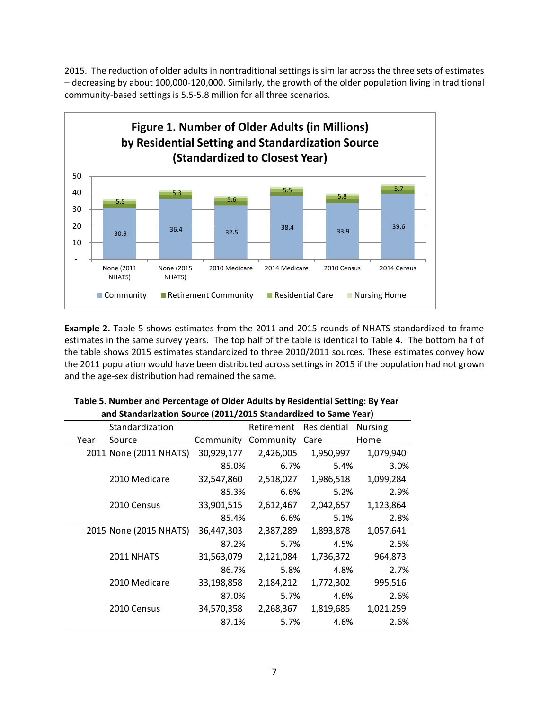2015. The reduction of older adults in nontraditional settings is similar across the three sets of estimates – decreasing by about 100,000-120,000. Similarly, the growth of the older population living in traditional community-based settings is 5.5-5.8 million for all three scenarios.



**Example 2.** Table 5 shows estimates from the 2011 and 2015 rounds of NHATS standardized to frame estimates in the same survey years. The top half of the table is identical to Table 4. The bottom half of the table shows 2015 estimates standardized to three 2010/2011 sources. These estimates convey how the 2011 population would have been distributed across settings in 2015 if the population had not grown and the age-sex distribution had remained the same.

|      | and standardation source (2011/2013 standarditect to same rear) |            |                        |           |                |
|------|-----------------------------------------------------------------|------------|------------------------|-----------|----------------|
|      | Standardization                                                 |            | Retirement Residential |           | <b>Nursing</b> |
| Year | Source                                                          | Community  | Community              | Care      | Home           |
|      | 2011 None (2011 NHATS)                                          | 30,929,177 | 2,426,005              | 1,950,997 | 1,079,940      |
|      |                                                                 | 85.0%      | 6.7%                   | 5.4%      | 3.0%           |
|      | 2010 Medicare                                                   | 32,547,860 | 2,518,027              | 1,986,518 | 1,099,284      |
|      |                                                                 | 85.3%      | 6.6%                   | 5.2%      | 2.9%           |
|      | 2010 Census                                                     | 33,901,515 | 2,612,467              | 2,042,657 | 1,123,864      |
|      |                                                                 | 85.4%      | 6.6%                   | 5.1%      | 2.8%           |
|      | 2015 None (2015 NHATS)                                          | 36,447,303 | 2,387,289              | 1,893,878 | 1,057,641      |
|      |                                                                 | 87.2%      | 5.7%                   | 4.5%      | 2.5%           |
|      | 2011 NHATS                                                      | 31,563,079 | 2,121,084              | 1,736,372 | 964,873        |
|      |                                                                 | 86.7%      | 5.8%                   | 4.8%      | 2.7%           |
|      | 2010 Medicare                                                   | 33,198,858 | 2,184,212              | 1,772,302 | 995,516        |
|      |                                                                 | 87.0%      | 5.7%                   | 4.6%      | 2.6%           |
|      | 2010 Census                                                     | 34,570,358 | 2,268,367              | 1,819,685 | 1,021,259      |
|      |                                                                 | 87.1%      | 5.7%                   | 4.6%      | 2.6%           |

# **Table 5. Number and Percentage of Older Adults by Residential Setting: By Year and Standarization Source (2011/2015 Standardized to Same Year)**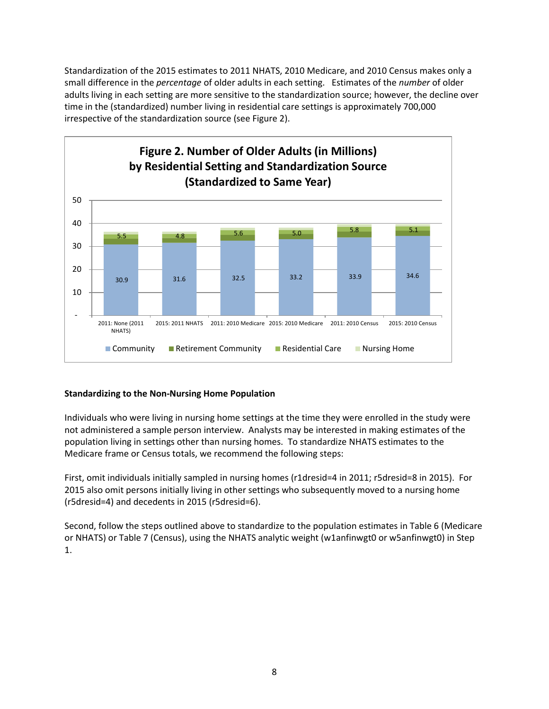Standardization of the 2015 estimates to 2011 NHATS, 2010 Medicare, and 2010 Census makes only a small difference in the *percentage* of older adults in each setting. Estimates of the *number* of older adults living in each setting are more sensitive to the standardization source; however, the decline over time in the (standardized) number living in residential care settings is approximately 700,000 irrespective of the standardization source (see Figure 2).



# **Standardizing to the Non-Nursing Home Population**

Individuals who were living in nursing home settings at the time they were enrolled in the study were not administered a sample person interview. Analysts may be interested in making estimates of the population living in settings other than nursing homes. To standardize NHATS estimates to the Medicare frame or Census totals, we recommend the following steps:

First, omit individuals initially sampled in nursing homes (r1dresid=4 in 2011; r5dresid=8 in 2015). For 2015 also omit persons initially living in other settings who subsequently moved to a nursing home (r5dresid=4) and decedents in 2015 (r5dresid=6).

Second, follow the steps outlined above to standardize to the population estimates in Table 6 (Medicare or NHATS) or Table 7 (Census), using the NHATS analytic weight (w1anfinwgt0 or w5anfinwgt0) in Step 1.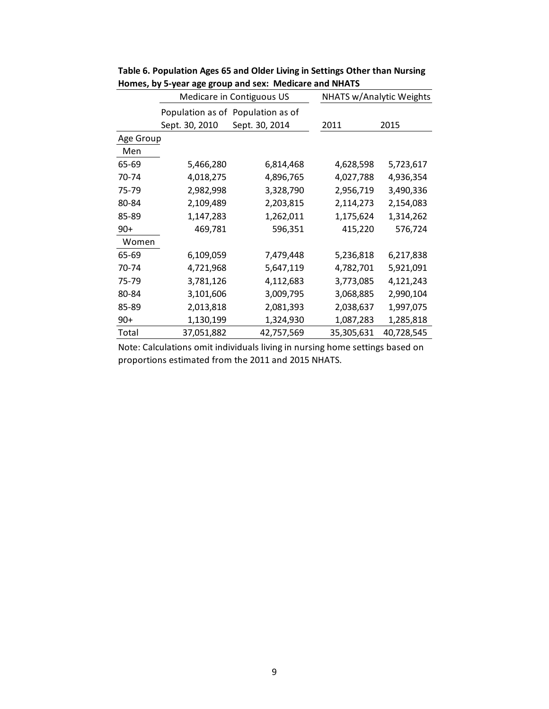|           | Medicare in Contiguous US |                                   | NHATS w/Analytic Weights |            |
|-----------|---------------------------|-----------------------------------|--------------------------|------------|
|           |                           | Population as of Population as of |                          |            |
|           | Sept. 30, 2010            | Sept. 30, 2014                    | 2011                     | 2015       |
| Age Group |                           |                                   |                          |            |
| Men       |                           |                                   |                          |            |
| 65-69     | 5,466,280                 | 6,814,468                         | 4,628,598                | 5,723,617  |
| 70-74     | 4,018,275                 | 4,896,765                         | 4,027,788                | 4,936,354  |
| 75-79     | 2,982,998                 | 3,328,790                         | 2,956,719                | 3,490,336  |
| 80-84     | 2,109,489                 | 2,203,815                         | 2,114,273                | 2,154,083  |
| 85-89     | 1,147,283                 | 1,262,011                         | 1,175,624                | 1,314,262  |
| $90+$     | 469,781                   | 596,351                           | 415,220                  | 576,724    |
| Women     |                           |                                   |                          |            |
| 65-69     | 6,109,059                 | 7,479,448                         | 5,236,818                | 6,217,838  |
| 70-74     | 4,721,968                 | 5,647,119                         | 4,782,701                | 5,921,091  |
| 75-79     | 3,781,126                 | 4,112,683                         | 3,773,085                | 4,121,243  |
| 80-84     | 3,101,606                 | 3,009,795                         | 3,068,885                | 2,990,104  |
| 85-89     | 2,013,818                 | 2,081,393                         | 2,038,637                | 1,997,075  |
| $90+$     | 1,130,199                 | 1,324,930                         | 1,087,283                | 1,285,818  |
| Total     | 37,051,882                | 42,757,569                        | 35,305,631               | 40,728,545 |

**Table 6. Population Ages 65 and Older Living in Settings Other than Nursing Homes, by 5-year age group and sex: Medicare and NHATS**

Note: Calculations omit individuals living in nursing home settings based on proportions estimated from the 2011 and 2015 NHATS.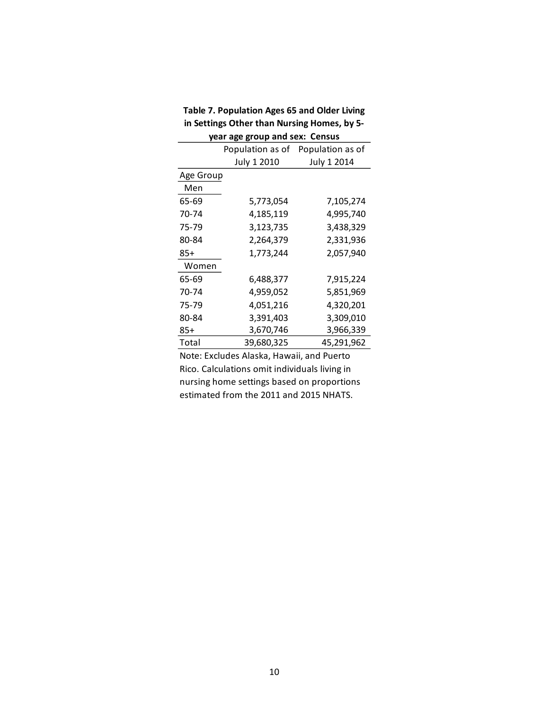| year age group and sex: Census |             |                                   |  |  |
|--------------------------------|-------------|-----------------------------------|--|--|
|                                |             | Population as of Population as of |  |  |
|                                | July 1 2010 | July 1 2014                       |  |  |
| Age Group                      |             |                                   |  |  |
| Men                            |             |                                   |  |  |
| 65-69                          | 5,773,054   | 7,105,274                         |  |  |
| 70-74                          | 4,185,119   | 4,995,740                         |  |  |
| 75-79                          | 3,123,735   | 3,438,329                         |  |  |
| 80-84                          | 2,264,379   | 2,331,936                         |  |  |
| 85+                            | 1,773,244   | 2,057,940                         |  |  |
| Women                          |             |                                   |  |  |
| 65-69                          | 6,488,377   | 7,915,224                         |  |  |
| 70-74                          | 4,959,052   | 5,851,969                         |  |  |
| 75-79                          | 4,051,216   | 4,320,201                         |  |  |
| 80-84                          | 3,391,403   | 3,309,010                         |  |  |
| 85+                            | 3,670,746   | 3,966,339                         |  |  |
| Total                          | 39,680,325  | 45,291,962                        |  |  |

**Table 7. Population Ages 65 and Older Living in Settings Other than Nursing Homes, by 5-**

Note: Excludes Alaska, Hawaii, and Puerto Rico. Calculations omit individuals living in nursing home settings based on proportions estimated from the 2011 and 2015 NHATS.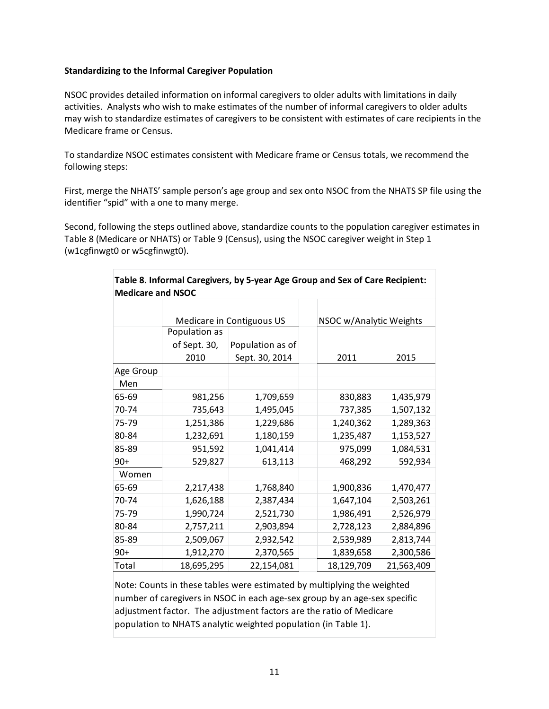## **Standardizing to the Informal Caregiver Population**

NSOC provides detailed information on informal caregivers to older adults with limitations in daily activities. Analysts who wish to make estimates of the number of informal caregivers to older adults may wish to standardize estimates of caregivers to be consistent with estimates of care recipients in the Medicare frame or Census.

To standardize NSOC estimates consistent with Medicare frame or Census totals, we recommend the following steps:

First, merge the NHATS' sample person's age group and sex onto NSOC from the NHATS SP file using the identifier "spid" with a one to many merge.

Second, following the steps outlined above, standardize counts to the population caregiver estimates in Table 8 (Medicare or NHATS) or Table 9 (Census), using the NSOC caregiver weight in Step 1 (w1cgfinwgt0 or w5cgfinwgt0).

| Table 8. Informal Caregivers, by 5-year Age Group and Sex of Care Recipient:<br><b>Medicare and NSOC</b> |               |                           |  |                         |            |  |
|----------------------------------------------------------------------------------------------------------|---------------|---------------------------|--|-------------------------|------------|--|
|                                                                                                          |               |                           |  |                         |            |  |
|                                                                                                          |               | Medicare in Contiguous US |  | NSOC w/Analytic Weights |            |  |
|                                                                                                          | Population as |                           |  |                         |            |  |
|                                                                                                          | of Sept. 30,  | Population as of          |  |                         |            |  |
|                                                                                                          | 2010          | Sept. 30, 2014            |  | 2011                    | 2015       |  |
| Age Group                                                                                                |               |                           |  |                         |            |  |
| Men                                                                                                      |               |                           |  |                         |            |  |
| 65-69                                                                                                    | 981,256       | 1,709,659                 |  | 830,883                 | 1,435,979  |  |
| 70-74                                                                                                    | 735,643       | 1,495,045                 |  | 737,385                 | 1,507,132  |  |
| 75-79                                                                                                    | 1,251,386     | 1,229,686                 |  | 1,240,362               | 1,289,363  |  |
| 80-84                                                                                                    | 1,232,691     | 1,180,159                 |  | 1,235,487               | 1,153,527  |  |
| 85-89                                                                                                    | 951,592       | 1,041,414                 |  | 975,099                 | 1,084,531  |  |
| $90+$                                                                                                    | 529,827       | 613,113                   |  | 468,292                 | 592,934    |  |
| Women                                                                                                    |               |                           |  |                         |            |  |
| 65-69                                                                                                    | 2,217,438     | 1,768,840                 |  | 1,900,836               | 1,470,477  |  |
| 70-74                                                                                                    | 1,626,188     | 2,387,434                 |  | 1,647,104               | 2,503,261  |  |
| 75-79                                                                                                    | 1,990,724     | 2,521,730                 |  | 1,986,491               | 2,526,979  |  |
| 80-84                                                                                                    | 2,757,211     | 2,903,894                 |  | 2,728,123               | 2,884,896  |  |
| 85-89                                                                                                    | 2,509,067     | 2,932,542                 |  | 2,539,989               | 2,813,744  |  |
| $90+$                                                                                                    | 1,912,270     | 2,370,565                 |  | 1,839,658               | 2,300,586  |  |
| Total                                                                                                    | 18,695,295    | 22,154,081                |  | 18,129,709              | 21,563,409 |  |

Note: Counts in these tables were estimated by multiplying the weighted number of caregivers in NSOC in each age-sex group by an age-sex specific adjustment factor. The adjustment factors are the ratio of Medicare population to NHATS analytic weighted population (in Table 1).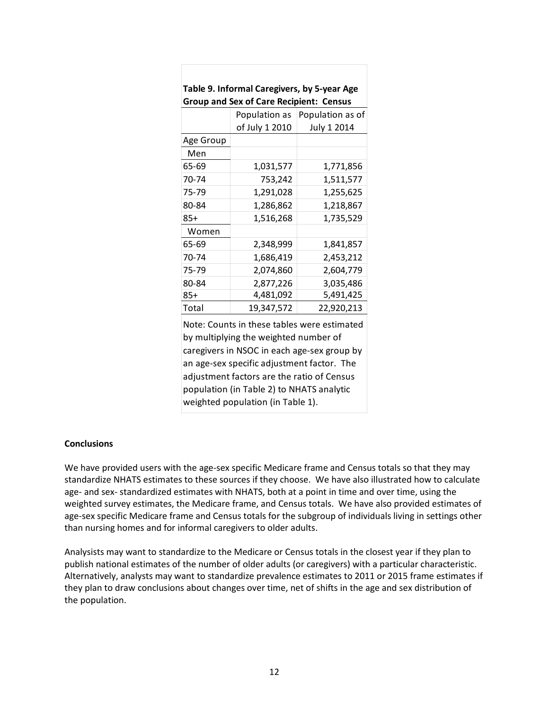| <b>Group and Sex of Care Recipient: Census</b> |                |                  |  |  |
|------------------------------------------------|----------------|------------------|--|--|
|                                                | Population as  | Population as of |  |  |
|                                                | of July 1 2010 | July 1 2014      |  |  |
| Age Group                                      |                |                  |  |  |
| Men                                            |                |                  |  |  |
| 65-69                                          | 1,031,577      | 1,771,856        |  |  |
| 70-74                                          | 753,242        | 1,511,577        |  |  |
| 75-79                                          | 1,291,028      | 1,255,625        |  |  |
| 80-84                                          | 1,286,862      | 1,218,867        |  |  |
| 85+                                            | 1,516,268      | 1,735,529        |  |  |
| Women                                          |                |                  |  |  |
| 65-69                                          | 2,348,999      | 1,841,857        |  |  |
| 70-74                                          | 1,686,419      | 2,453,212        |  |  |
| 75-79                                          | 2,074,860      | 2,604,779        |  |  |
| 80-84                                          | 2,877,226      | 3,035,486        |  |  |
| 85+                                            | 4,481,092      | 5,491,425        |  |  |
| Total                                          | 19,347,572     | 22,920,213       |  |  |

**Table 9. Informal Caregivers, by 5-year Age** 

Note: Counts in these tables were estimated by multiplying the weighted number of caregivers in NSOC in each age-sex group by an age-sex specific adjustment factor. The adjustment factors are the ratio of Census population (in Table 2) to NHATS analytic weighted population (in Table 1).

## **Conclusions**

We have provided users with the age-sex specific Medicare frame and Census totals so that they may standardize NHATS estimates to these sources if they choose. We have also illustrated how to calculate age- and sex- standardized estimates with NHATS, both at a point in time and over time, using the weighted survey estimates, the Medicare frame, and Census totals. We have also provided estimates of age-sex specific Medicare frame and Census totals for the subgroup of individuals living in settings other than nursing homes and for informal caregivers to older adults.

Analysists may want to standardize to the Medicare or Census totals in the closest year if they plan to publish national estimates of the number of older adults (or caregivers) with a particular characteristic. Alternatively, analysts may want to standardize prevalence estimates to 2011 or 2015 frame estimates if they plan to draw conclusions about changes over time, net of shifts in the age and sex distribution of the population.